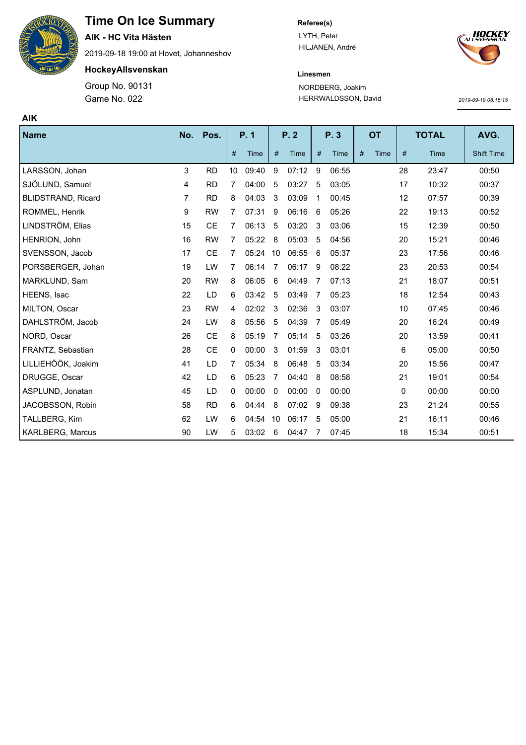

# **Time On Ice Summary**

**AIK - HC Vita Hästen**

2019-09-18 19:00 at Hovet, Johanneshov

### **HockeyAllsvenskan**

Game No. 022 Group No. 90131

#### **Referee(s)**

LYTH, Peter HILJANEN, André



## **Linesmen** NORDBERG, Joakim HERRWALDSSON, David

*2019-09-19 08:15:15*

| <b>AIK</b>                |                |           |    |       |                |             |   |       |   |           |    |              |                   |
|---------------------------|----------------|-----------|----|-------|----------------|-------------|---|-------|---|-----------|----|--------------|-------------------|
| <b>Name</b>               |                | No. Pos.  |    | P. 1  |                | P.2         |   | P. 3  |   | <b>OT</b> |    | <b>TOTAL</b> | AVG.              |
|                           |                |           | #  | Time  | #              | <b>Time</b> | # | Time  | # | Time      | #  | <b>Time</b>  | <b>Shift Time</b> |
| LARSSON, Johan            | 3              | <b>RD</b> | 10 | 09:40 | 9              | 07:12       | 9 | 06:55 |   |           | 28 | 23:47        | 00:50             |
| SJÖLUND, Samuel           | 4              | <b>RD</b> | 7  | 04:00 | 5              | 03:27       | 5 | 03:05 |   |           | 17 | 10:32        | 00:37             |
| <b>BLIDSTRAND, Ricard</b> | $\overline{7}$ | <b>RD</b> | 8  | 04:03 | 3              | 03:09       | 1 | 00:45 |   |           | 12 | 07:57        | 00:39             |
| ROMMEL, Henrik            | 9              | <b>RW</b> | 7  | 07:31 | 9              | 06:16       | 6 | 05:26 |   |           | 22 | 19:13        | 00:52             |
| LINDSTRÖM, Elias          | 15             | <b>CE</b> | 7  | 06:13 | 5              | 03:20       | 3 | 03:06 |   |           | 15 | 12:39        | 00:50             |
| HENRION, John             | 16             | <b>RW</b> | 7  | 05:22 | 8              | 05:03       | 5 | 04:56 |   |           | 20 | 15:21        | 00:46             |
| SVENSSON, Jacob           | 17             | <b>CE</b> | 7  | 05:24 | 10             | 06:55       | 6 | 05:37 |   |           | 23 | 17:56        | 00:46             |
| PORSBERGER, Johan         | 19             | LW        | 7  | 06:14 | 7              | 06:17       | 9 | 08:22 |   |           | 23 | 20:53        | 00:54             |
| MARKLUND, Sam             | 20             | <b>RW</b> | 8  | 06:05 | 6              | 04:49       | 7 | 07:13 |   |           | 21 | 18:07        | 00:51             |
| HEENS, Isac               | 22             | <b>LD</b> | 6  | 03:42 | 5              | 03:49       | 7 | 05:23 |   |           | 18 | 12:54        | 00:43             |
| MILTON, Oscar             | 23             | <b>RW</b> | 4  | 02:02 | 3              | 02:36       | 3 | 03:07 |   |           | 10 | 07:45        | 00:46             |
| DAHLSTRÖM, Jacob          | 24             | LW        | 8  | 05:56 | 5              | 04:39       | 7 | 05:49 |   |           | 20 | 16:24        | 00:49             |
| NORD, Oscar               | 26             | <b>CE</b> | 8  | 05:19 | 7              | 05:14       | 5 | 03:26 |   |           | 20 | 13:59        | 00:41             |
| FRANTZ, Sebastian         | 28             | <b>CE</b> | 0  | 00:00 | 3              | 01:59       | 3 | 03:01 |   |           | 6  | 05:00        | 00:50             |
| LILLIEHÖÖK, Joakim        | 41             | LD.       | 7  | 05:34 | 8              | 06:48       | 5 | 03:34 |   |           | 20 | 15:56        | 00:47             |
| DRUGGE, Oscar             | 42             | <b>LD</b> | 6  | 05:23 | 7              | 04:40       | 8 | 08:58 |   |           | 21 | 19:01        | 00:54             |
| ASPLUND, Jonatan          | 45             | LD        | 0  | 00:00 | $\overline{0}$ | 00:00       | 0 | 00:00 |   |           | 0  | 00:00        | 00:00             |
| JACOBSSON, Robin          | 58             | <b>RD</b> | 6  | 04:44 | 8              | 07:02       | 9 | 09:38 |   |           | 23 | 21:24        | 00:55             |
| TALLBERG, Kim             | 62             | LW        | 6  | 04:54 | 10             | 06:17       | 5 | 05:00 |   |           | 21 | 16:11        | 00:46             |
| <b>KARLBERG, Marcus</b>   | 90             | LW        | 5  | 03:02 | 6              | 04:47       | 7 | 07:45 |   |           | 18 | 15:34        | 00:51             |